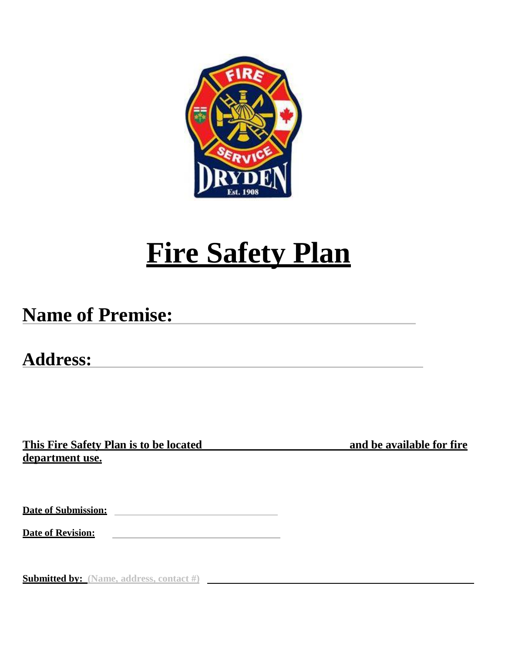

# **Fire Safety Plan**

## **Name of Premise:**

**Address:**

**This Fire Safety Plan is to be located and be available for fire department use.**

**Date of Submission:** 

**Date of Revision:**

**Submitted by: (Name, address, contact #)**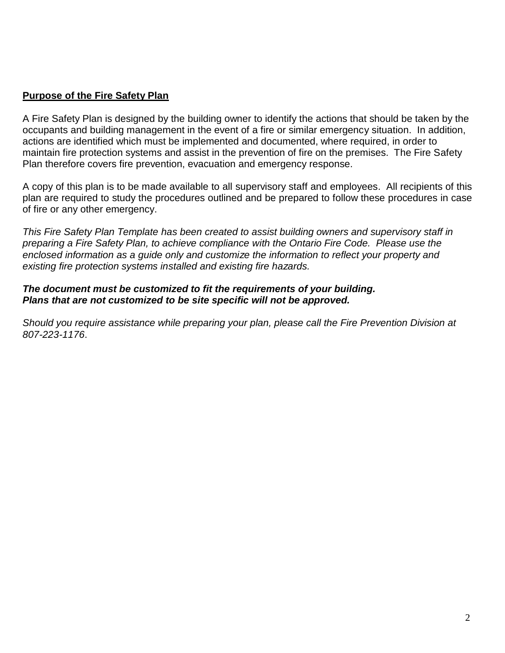#### **Purpose of the Fire Safety Plan**

A Fire Safety Plan is designed by the building owner to identify the actions that should be taken by the occupants and building management in the event of a fire or similar emergency situation. In addition, actions are identified which must be implemented and documented, where required, in order to maintain fire protection systems and assist in the prevention of fire on the premises. The Fire Safety Plan therefore covers fire prevention, evacuation and emergency response.

A copy of this plan is to be made available to all supervisory staff and employees. All recipients of this plan are required to study the procedures outlined and be prepared to follow these procedures in case of fire or any other emergency.

*This Fire Safety Plan Template has been created to assist building owners and supervisory staff in preparing a Fire Safety Plan, to achieve compliance with the Ontario Fire Code. Please use the enclosed information as a guide only and customize the information to reflect your property and existing fire protection systems installed and existing fire hazards.*

#### *The document must be customized to fit the requirements of your building. Plans that are not customized to be site specific will not be approved.*

*Should you require assistance while preparing your plan, please call the Fire Prevention Division at 807-223-1176*.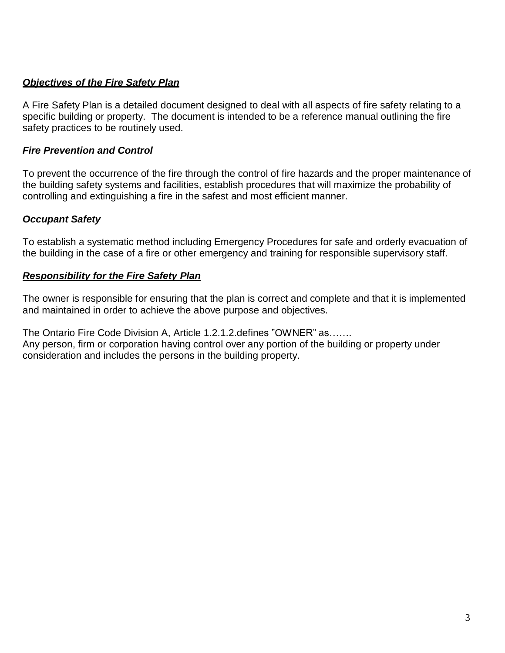#### *Objectives of the Fire Safety Plan*

A Fire Safety Plan is a detailed document designed to deal with all aspects of fire safety relating to a specific building or property. The document is intended to be a reference manual outlining the fire safety practices to be routinely used.

#### *Fire Prevention and Control*

To prevent the occurrence of the fire through the control of fire hazards and the proper maintenance of the building safety systems and facilities, establish procedures that will maximize the probability of controlling and extinguishing a fire in the safest and most efficient manner.

#### *Occupant Safety*

To establish a systematic method including Emergency Procedures for safe and orderly evacuation of the building in the case of a fire or other emergency and training for responsible supervisory staff.

#### *Responsibility for the Fire Safety Plan*

The owner is responsible for ensuring that the plan is correct and complete and that it is implemented and maintained in order to achieve the above purpose and objectives.

The Ontario Fire Code Division A, Article 1.2.1.2.defines "OWNER" as……. Any person, firm or corporation having control over any portion of the building or property under

consideration and includes the persons in the building property.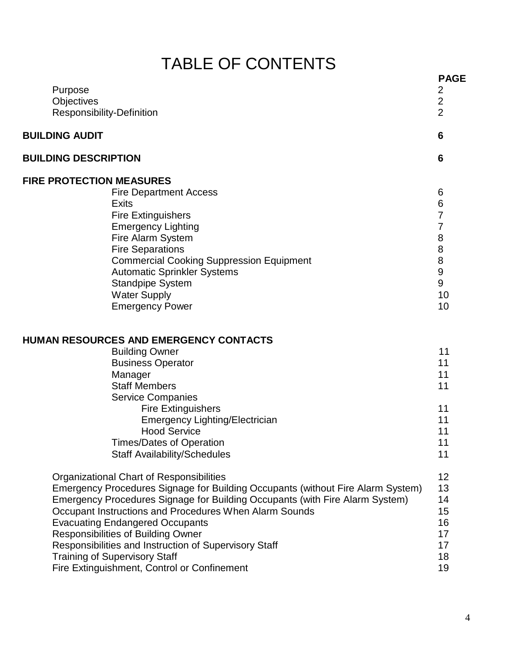## TABLE OF CONTENTS

| Purpose<br>Objectives           | Responsibility-Definition                                                       | <b>PAGE</b><br>$\overline{2}$<br>$\overline{2}$<br>$\overline{2}$ |
|---------------------------------|---------------------------------------------------------------------------------|-------------------------------------------------------------------|
| <b>BUILDING AUDIT</b>           |                                                                                 | 6                                                                 |
| <b>BUILDING DESCRIPTION</b>     |                                                                                 | $6\phantom{1}6$                                                   |
| <b>FIRE PROTECTION MEASURES</b> |                                                                                 |                                                                   |
|                                 | <b>Fire Department Access</b>                                                   | 6                                                                 |
|                                 | <b>Exits</b>                                                                    | 6                                                                 |
|                                 | <b>Fire Extinguishers</b>                                                       | 7                                                                 |
|                                 | <b>Emergency Lighting</b>                                                       | $\overline{7}$                                                    |
|                                 | Fire Alarm System                                                               | $\bf 8$                                                           |
|                                 | <b>Fire Separations</b>                                                         | $\bf 8$                                                           |
|                                 | <b>Commercial Cooking Suppression Equipment</b>                                 | 8                                                                 |
|                                 | <b>Automatic Sprinkler Systems</b>                                              | 9                                                                 |
|                                 | <b>Standpipe System</b>                                                         | 9                                                                 |
|                                 | <b>Water Supply</b>                                                             | 10                                                                |
|                                 | <b>Emergency Power</b>                                                          | 10                                                                |
|                                 | <b>HUMAN RESOURCES AND EMERGENCY CONTACTS</b>                                   |                                                                   |
|                                 | <b>Building Owner</b>                                                           | 11                                                                |
|                                 | <b>Business Operator</b>                                                        | 11                                                                |
|                                 | Manager                                                                         | 11                                                                |
|                                 | <b>Staff Members</b>                                                            | 11                                                                |
|                                 | <b>Service Companies</b>                                                        |                                                                   |
|                                 | <b>Fire Extinguishers</b>                                                       | 11                                                                |
|                                 | Emergency Lighting/Electrician                                                  | 11                                                                |
|                                 | <b>Hood Service</b>                                                             | 11                                                                |
|                                 | <b>Times/Dates of Operation</b>                                                 | 11                                                                |
|                                 | <b>Staff Availability/Schedules</b>                                             | 11                                                                |
|                                 | Organizational Chart of Responsibilities                                        | 12                                                                |
|                                 | Emergency Procedures Signage for Building Occupants (without Fire Alarm System) | 13                                                                |
|                                 | Emergency Procedures Signage for Building Occupants (with Fire Alarm System)    | 14                                                                |
|                                 | Occupant Instructions and Procedures When Alarm Sounds                          | 15                                                                |
|                                 | <b>Evacuating Endangered Occupants</b>                                          | 16                                                                |
|                                 | <b>Responsibilities of Building Owner</b>                                       | 17                                                                |
|                                 | Responsibilities and Instruction of Supervisory Staff                           | 17                                                                |
|                                 | <b>Training of Supervisory Staff</b>                                            | 18                                                                |
|                                 | Fire Extinguishment, Control or Confinement                                     | 19                                                                |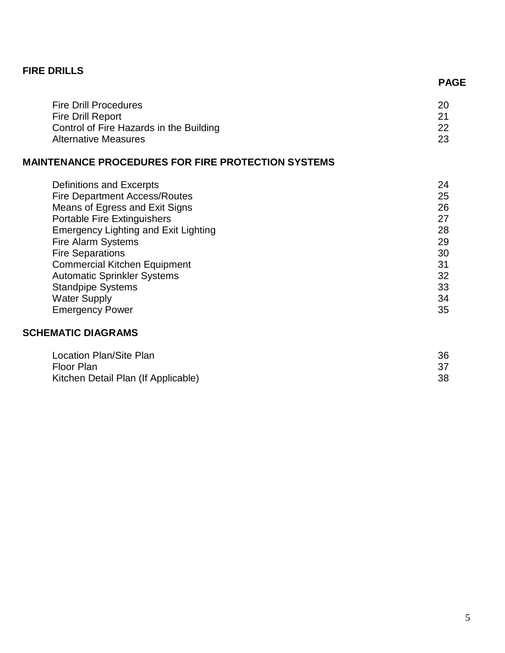#### **FIRE DRILLS**

|                                         | <b>PAGE</b> |
|-----------------------------------------|-------------|
| <b>Fire Drill Procedures</b>            | 20          |
| <b>Fire Drill Report</b>                | -21         |
| Control of Fire Hazards in the Building | -22         |
| Alternative Measures                    | -23         |
|                                         |             |

#### **MAINTENANCE PROCEDURES FOR FIRE PROTECTION SYSTEMS**

| Definitions and Excerpts                    | 24 |
|---------------------------------------------|----|
| <b>Fire Department Access/Routes</b>        | 25 |
| Means of Egress and Exit Signs              | 26 |
| Portable Fire Extinguishers                 | 27 |
| <b>Emergency Lighting and Exit Lighting</b> | 28 |
| <b>Fire Alarm Systems</b>                   | 29 |
| <b>Fire Separations</b>                     | 30 |
| <b>Commercial Kitchen Equipment</b>         | 31 |
| <b>Automatic Sprinkler Systems</b>          | 32 |
| <b>Standpipe Systems</b>                    | 33 |
| <b>Water Supply</b>                         | 34 |
| <b>Emergency Power</b>                      | 35 |

#### **SCHEMATIC DIAGRAMS**

| Location Plan/Site Plan             | 36 |
|-------------------------------------|----|
| Floor Plan                          |    |
| Kitchen Detail Plan (If Applicable) | 38 |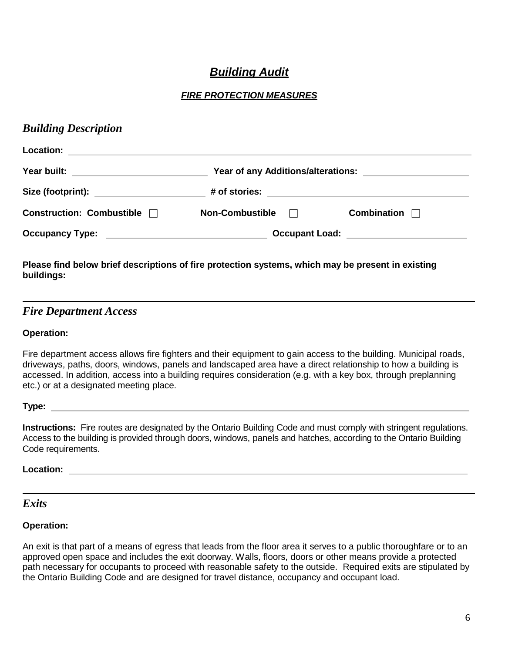## *Building Audit*

#### *FIRE PROTECTION MEASURES*

#### *Building Description*

| <b>Location:</b>                 |                                        |                    |
|----------------------------------|----------------------------------------|--------------------|
| Year built:                      | Year of any Additions/alterations:     |                    |
| Size (footprint):                | # of stories:                          |                    |
| <b>Construction: Combustible</b> | <b>Non-Combustible</b><br>$\mathbf{1}$ | <b>Combination</b> |
| <b>Occupancy Type:</b>           | <b>Occupant Load:</b>                  |                    |

#### **Please find below brief descriptions of fire protection systems, which may be present in existing buildings:**

#### *Fire Department Access*

#### **Operation:**

Fire department access allows fire fighters and their equipment to gain access to the building. Municipal roads, driveways, paths, doors, windows, panels and landscaped area have a direct relationship to how a building is accessed. In addition, access into a building requires consideration (e.g. with a key box, through preplanning etc.) or at a designated meeting place.

**Type:** 

**Instructions:** Fire routes are designated by the Ontario Building Code and must comply with stringent regulations. Access to the building is provided through doors, windows, panels and hatches, according to the Ontario Building Code requirements.

#### **Location:**

#### *Exits*

#### **Operation:**

An exit is that part of a means of egress that leads from the floor area it serves to a public thoroughfare or to an approved open space and includes the exit doorway. Walls, floors, doors or other means provide a protected path necessary for occupants to proceed with reasonable safety to the outside. Required exits are stipulated by the Ontario Building Code and are designed for travel distance, occupancy and occupant load.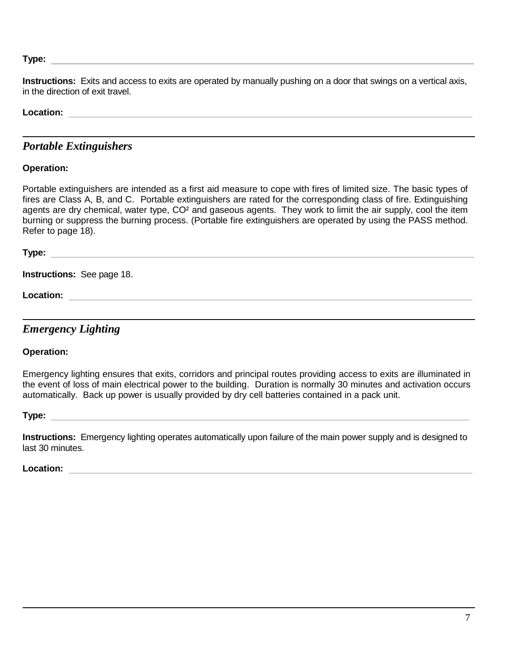**Type:** 

**Instructions:** Exits and access to exits are operated by manually pushing on a door that swings on a vertical axis, in the direction of exit travel.

#### **Location:**

#### *Portable Extinguishers*

#### **Operation:**

Portable extinguishers are intended as a first aid measure to cope with fires of limited size. The basic types of fires are Class A, B, and C. Portable extinguishers are rated for the corresponding class of fire. Extinguishing agents are dry chemical, water type, CO² and gaseous agents. They work to limit the air supply, cool the item burning or suppress the burning process. (Portable fire extinguishers are operated by using the PASS method. Refer to page 18).

**Type:** 

**Instructions:** See page 18.

**Location:** 

*Emergency Lighting*

**Operation:**

Emergency lighting ensures that exits, corridors and principal routes providing access to exits are illuminated in the event of loss of main electrical power to the building. Duration is normally 30 minutes and activation occurs automatically. Back up power is usually provided by dry cell batteries contained in a pack unit.

**Type:** 

**Instructions:** Emergency lighting operates automatically upon failure of the main power supply and is designed to last 30 minutes.

**Location:**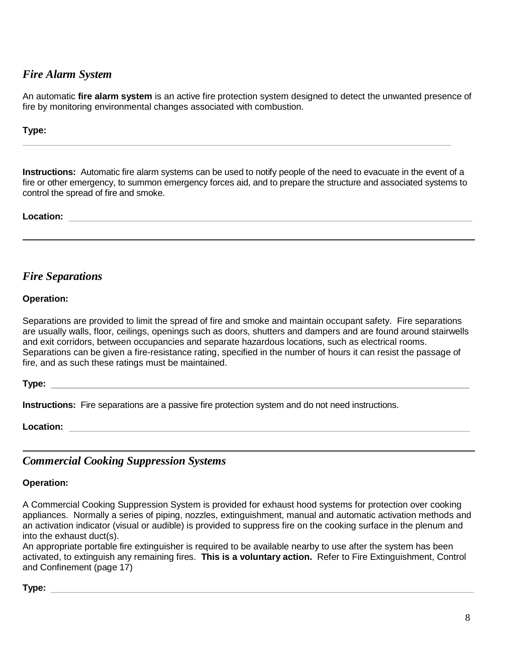#### *Fire Alarm System*

An automatic **fire alarm system** is an active fire protection system designed to detect the unwanted presence of fire by monitoring environmental changes associated with combustion.

#### **Type:**

**Instructions:** Automatic fire alarm systems can be used to notify people of the need to evacuate in the event of a fire or other emergency, to summon emergency forces aid, and to prepare the structure and associated systems to control the spread of fire and smoke.

#### **Location:**

#### *Fire Separations*

#### **Operation:**

Separations are provided to limit the spread of fire and smoke and maintain occupant safety. Fire separations are usually walls, floor, ceilings, openings such as doors, shutters and dampers and are found around stairwells and exit corridors, between occupancies and separate hazardous locations, such as electrical rooms. Separations can be given a fire-resistance rating, specified in the number of hours it can resist the passage of fire, and as such these ratings must be maintained.

#### **Type:**

**Instructions:** Fire separations are a passive fire protection system and do not need instructions.

**Location:** 

#### *Commercial Cooking Suppression Systems*

#### **Operation:**

A Commercial Cooking Suppression System is provided for exhaust hood systems for protection over cooking appliances. Normally a series of piping, nozzles, extinguishment, manual and automatic activation methods and an activation indicator (visual or audible) is provided to suppress fire on the cooking surface in the plenum and into the exhaust duct(s).

An appropriate portable fire extinguisher is required to be available nearby to use after the system has been activated, to extinguish any remaining fires. **This is a voluntary action.** Refer to Fire Extinguishment, Control and Confinement (page 17)

#### **Type:**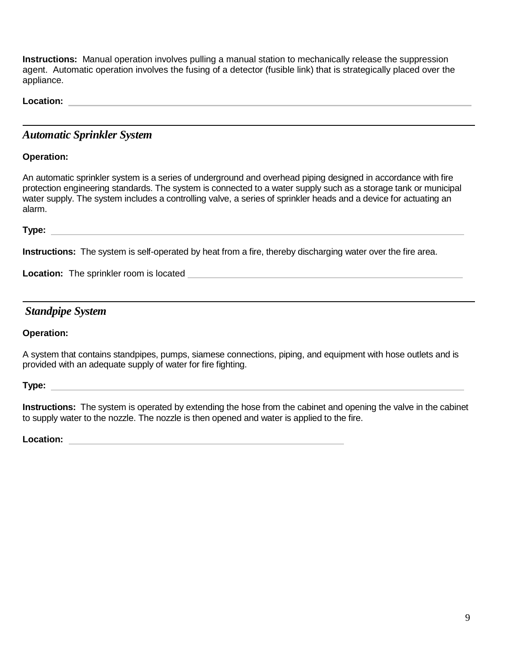**Instructions:** Manual operation involves pulling a manual station to mechanically release the suppression agent. Automatic operation involves the fusing of a detector (fusible link) that is strategically placed over the appliance.

**Location:** 

#### *Automatic Sprinkler System*

#### **Operation:**

An automatic sprinkler system is a series of underground and overhead piping designed in accordance with fire protection engineering standards. The system is connected to a water supply such as a storage tank or municipal water supply. The system includes a controlling valve, a series of sprinkler heads and a device for actuating an alarm.

**Type:** 

**Instructions:** The system is self-operated by heat from a fire, thereby discharging water over the fire area.

**Location:** The sprinkler room is located

#### *Standpipe System*

**Operation:**

A system that contains standpipes, pumps, siamese connections, piping, and equipment with hose outlets and is provided with an adequate supply of water for fire fighting.

**Type:** 

**Instructions:** The system is operated by extending the hose from the cabinet and opening the valve in the cabinet to supply water to the nozzle. The nozzle is then opened and water is applied to the fire.

**Location:**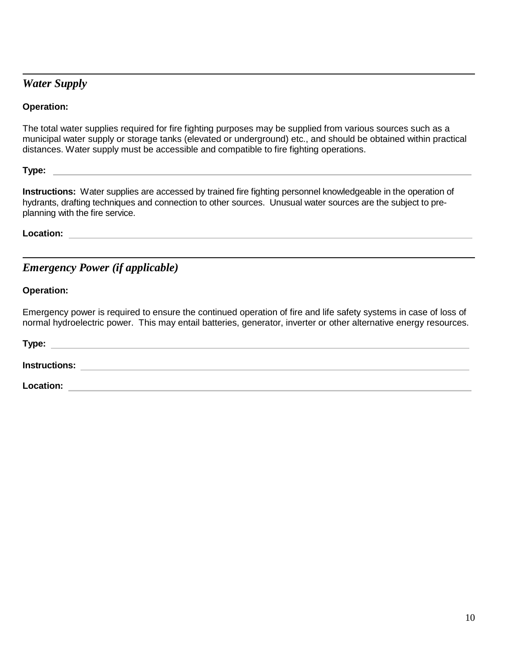### *Water Supply*

#### **Operation:**

The total water supplies required for fire fighting purposes may be supplied from various sources such as a municipal water supply or storage tanks (elevated or underground) etc., and should be obtained within practical distances. Water supply must be accessible and compatible to fire fighting operations.

**Type:** 

**Instructions:** Water supplies are accessed by trained fire fighting personnel knowledgeable in the operation of hydrants, drafting techniques and connection to other sources. Unusual water sources are the subject to preplanning with the fire service.

**Location:** 

## *Emergency Power (if applicable)*

#### **Operation:**

Emergency power is required to ensure the continued operation of fire and life safety systems in case of loss of normal hydroelectric power. This may entail batteries, generator, inverter or other alternative energy resources.

| Type:         |  |
|---------------|--|
| Instructions: |  |
| Location:     |  |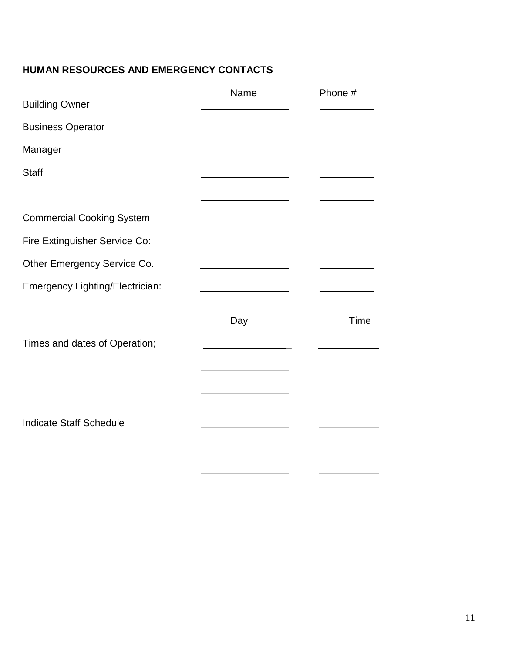## **HUMAN RESOURCES AND EMERGENCY CONTACTS**

| <b>Building Owner</b>            | Name                                                  | Phone # |
|----------------------------------|-------------------------------------------------------|---------|
| <b>Business Operator</b>         |                                                       |         |
| Manager                          |                                                       |         |
| <b>Staff</b>                     |                                                       |         |
|                                  |                                                       |         |
| <b>Commercial Cooking System</b> | the control of the control of the control of the      |         |
| Fire Extinguisher Service Co:    |                                                       |         |
| Other Emergency Service Co.      | <u> 1980 - Jan Stein Berlin, Amerikaansk kanton (</u> |         |
| Emergency Lighting/Electrician:  |                                                       |         |
| Times and dates of Operation;    | Day                                                   | Time    |
|                                  |                                                       |         |
| <b>Indicate Staff Schedule</b>   |                                                       |         |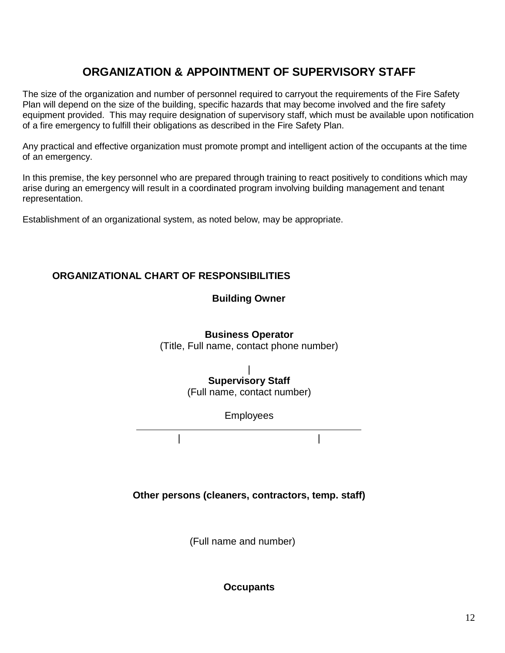## **ORGANIZATION & APPOINTMENT OF SUPERVISORY STAFF**

The size of the organization and number of personnel required to carryout the requirements of the Fire Safety Plan will depend on the size of the building, specific hazards that may become involved and the fire safety equipment provided. This may require designation of supervisory staff, which must be available upon notification of a fire emergency to fulfill their obligations as described in the Fire Safety Plan.

Any practical and effective organization must promote prompt and intelligent action of the occupants at the time of an emergency.

In this premise, the key personnel who are prepared through training to react positively to conditions which may arise during an emergency will result in a coordinated program involving building management and tenant representation.

Establishment of an organizational system, as noted below, may be appropriate.

#### **ORGANIZATIONAL CHART OF RESPONSIBILITIES**

#### **Building Owner**

#### **Business Operator**

(Title, Full name, contact phone number)

#### | **Supervisory Staff**

(Full name, contact number)

Employees

| |

**Other persons (cleaners, contractors, temp. staff)**

(Full name and number)

**Occupants**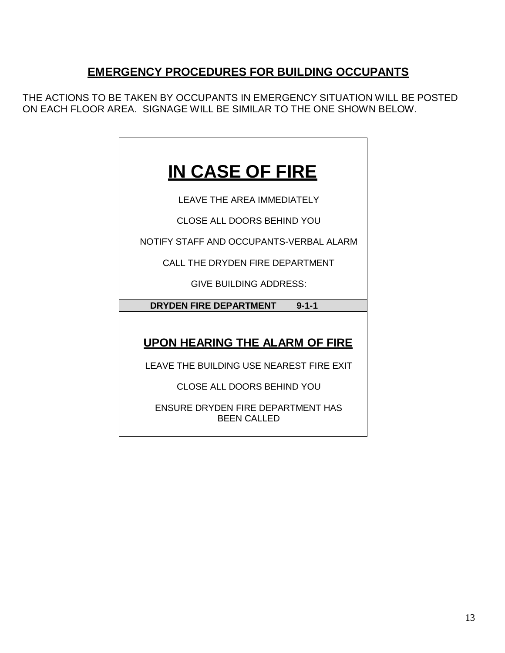## **EMERGENCY PROCEDURES FOR BUILDING OCCUPANTS**

THE ACTIONS TO BE TAKEN BY OCCUPANTS IN EMERGENCY SITUATION WILL BE POSTED ON EACH FLOOR AREA. SIGNAGE WILL BE SIMILAR TO THE ONE SHOWN BELOW.

## **IN CASE OF FIRE**

LEAVE THE AREA IMMEDIATELY

CLOSE ALL DOORS BEHIND YOU

NOTIFY STAFF AND OCCUPANTS-VERBAL ALARM

CALL THE DRYDEN FIRE DEPARTMENT

GIVE BUILDING ADDRESS:

#### **DRYDEN FIRE DEPARTMENT 9-1-1**

## **UPON HEARING THE ALARM OF FIRE**

LEAVE THE BUILDING USE NEAREST FIRE EXIT

CLOSE ALL DOORS BEHIND YOU

ENSURE DRYDEN FIRE DEPARTMENT HAS BEEN CALLED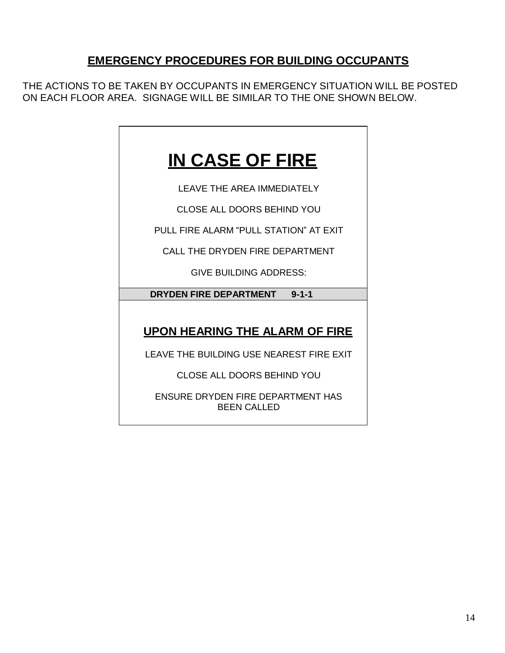## **EMERGENCY PROCEDURES FOR BUILDING OCCUPANTS**

THE ACTIONS TO BE TAKEN BY OCCUPANTS IN EMERGENCY SITUATION WILL BE POSTED ON EACH FLOOR AREA. SIGNAGE WILL BE SIMILAR TO THE ONE SHOWN BELOW.

## **IN CASE OF FIRE**

LEAVE THE AREA IMMEDIATELY

CLOSE ALL DOORS BEHIND YOU

PULL FIRE ALARM "PULL STATION" AT EXIT

CALL THE DRYDEN FIRE DEPARTMENT

GIVE BUILDING ADDRESS:

**DRYDEN FIRE DEPARTMENT 9-1-1**

**UPON HEARING THE ALARM OF FIRE**

LEAVE THE BUILDING USE NEAREST FIRE EXIT

CLOSE ALL DOORS BEHIND YOU

ENSURE DRYDEN FIRE DEPARTMENT HAS BEEN CALLED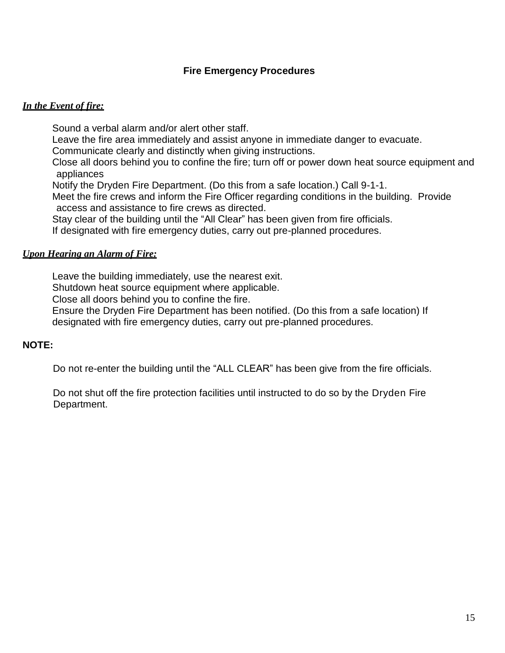#### **Fire Emergency Procedures**

#### *In the Event of fire:*

Sound a verbal alarm and/or alert other staff.

Leave the fire area immediately and assist anyone in immediate danger to evacuate.

Communicate clearly and distinctly when giving instructions.

Close all doors behind you to confine the fire; turn off or power down heat source equipment and appliances

Notify the Dryden Fire Department. (Do this from a safe location.) Call 9-1-1.

Meet the fire crews and inform the Fire Officer regarding conditions in the building. Provide access and assistance to fire crews as directed.

Stay clear of the building until the "All Clear" has been given from fire officials.

If designated with fire emergency duties, carry out pre-planned procedures.

#### *Upon Hearing an Alarm of Fire:*

Leave the building immediately, use the nearest exit.

Shutdown heat source equipment where applicable.

Close all doors behind you to confine the fire.

Ensure the Dryden Fire Department has been notified. (Do this from a safe location) If designated with fire emergency duties, carry out pre-planned procedures.

#### **NOTE:**

Do not re-enter the building until the "ALL CLEAR" has been give from the fire officials.

 Do not shut off the fire protection facilities until instructed to do so by the Dryden Fire Department.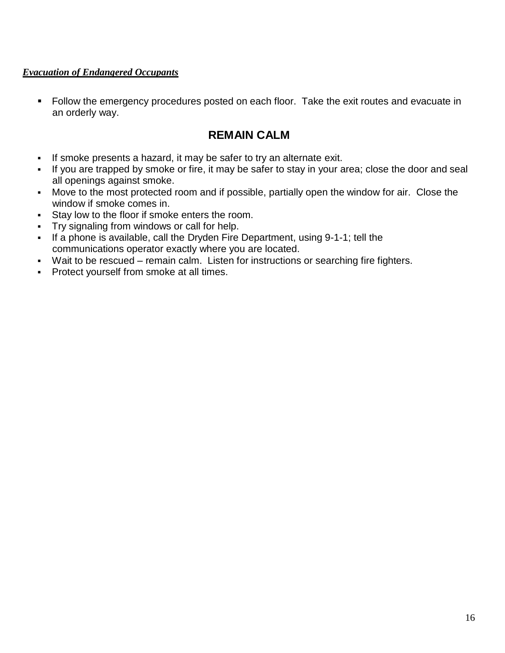#### *Evacuation of Endangered Occupants*

■ Follow the emergency procedures posted on each floor. Take the exit routes and evacuate in an orderly way.

### **REMAIN CALM**

- If smoke presents a hazard, it may be safer to try an alternate exit.
- If you are trapped by smoke or fire, it may be safer to stay in your area; close the door and seal all openings against smoke.
- **•** Move to the most protected room and if possible, partially open the window for air. Close the window if smoke comes in.
- **EXECT:** Stay low to the floor if smoke enters the room.
- Try signaling from windows or call for help.
- If a phone is available, call the Dryden Fire Department, using 9-1-1; tell the communications operator exactly where you are located.
- Wait to be rescued remain calm. Listen for instructions or searching fire fighters.
- **Protect yourself from smoke at all times.**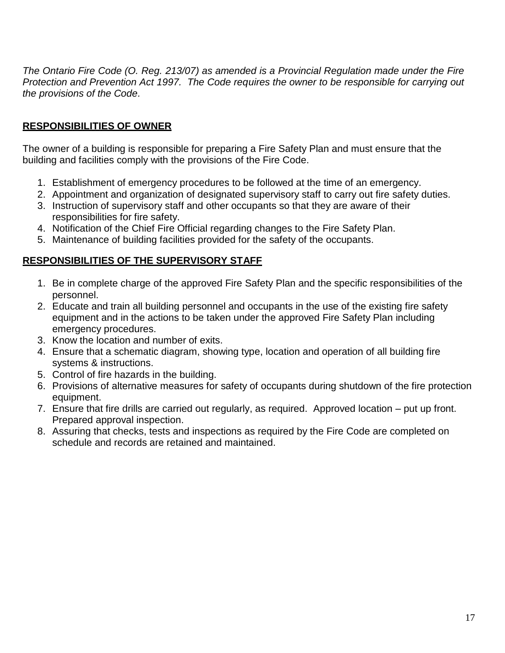*The Ontario Fire Code (O. Reg. 213/07) as amended is a Provincial Regulation made under the Fire Protection and Prevention Act 1997. The Code requires the owner to be responsible for carrying out the provisions of the Code.*

#### **RESPONSIBILITIES OF OWNER**

The owner of a building is responsible for preparing a Fire Safety Plan and must ensure that the building and facilities comply with the provisions of the Fire Code.

- 1. Establishment of emergency procedures to be followed at the time of an emergency.
- 2. Appointment and organization of designated supervisory staff to carry out fire safety duties.
- 3. Instruction of supervisory staff and other occupants so that they are aware of their responsibilities for fire safety.
- 4. Notification of the Chief Fire Official regarding changes to the Fire Safety Plan.
- 5. Maintenance of building facilities provided for the safety of the occupants.

#### **RESPONSIBILITIES OF THE SUPERVISORY STAFF**

- 1. Be in complete charge of the approved Fire Safety Plan and the specific responsibilities of the personnel.
- 2. Educate and train all building personnel and occupants in the use of the existing fire safety equipment and in the actions to be taken under the approved Fire Safety Plan including emergency procedures.
- 3. Know the location and number of exits.
- 4. Ensure that a schematic diagram, showing type, location and operation of all building fire systems & instructions.
- 5. Control of fire hazards in the building.
- 6. Provisions of alternative measures for safety of occupants during shutdown of the fire protection equipment.
- 7. Ensure that fire drills are carried out regularly, as required. Approved location put up front. Prepared approval inspection.
- 8. Assuring that checks, tests and inspections as required by the Fire Code are completed on schedule and records are retained and maintained.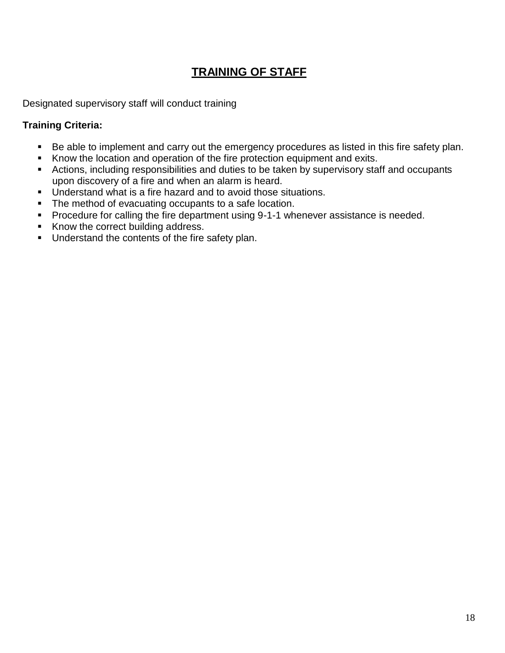## **TRAINING OF STAFF**

Designated supervisory staff will conduct training

#### **Training Criteria:**

- Be able to implement and carry out the emergency procedures as listed in this fire safety plan.
- Know the location and operation of the fire protection equipment and exits.
- Actions, including responsibilities and duties to be taken by supervisory staff and occupants upon discovery of a fire and when an alarm is heard.
- Understand what is a fire hazard and to avoid those situations.
- The method of evacuating occupants to a safe location.
- Procedure for calling the fire department using 9-1-1 whenever assistance is needed.
- Know the correct building address.
- **■** Understand the contents of the fire safety plan.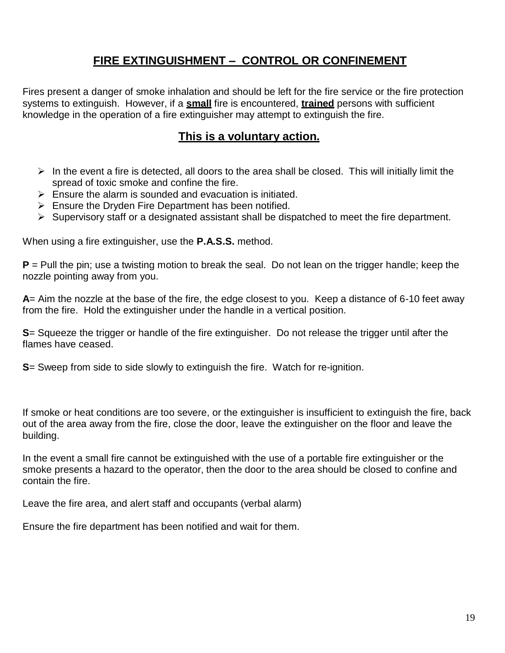## **FIRE EXTINGUISHMENT – CONTROL OR CONFINEMENT**

Fires present a danger of smoke inhalation and should be left for the fire service or the fire protection systems to extinguish. However, if a **small** fire is encountered, **trained** persons with sufficient knowledge in the operation of a fire extinguisher may attempt to extinguish the fire.

#### **This is a voluntary action.**

- $\triangleright$  In the event a fire is detected, all doors to the area shall be closed. This will initially limit the spread of toxic smoke and confine the fire.
- $\triangleright$  Ensure the alarm is sounded and evacuation is initiated.
- ➢ Ensure the Dryden Fire Department has been notified.
- ➢ Supervisory staff or a designated assistant shall be dispatched to meet the fire department.

When using a fire extinguisher, use the **P.A.S.S.** method.

**P** = Pull the pin; use a twisting motion to break the seal. Do not lean on the trigger handle; keep the nozzle pointing away from you.

**A**= Aim the nozzle at the base of the fire, the edge closest to you. Keep a distance of 6-10 feet away from the fire. Hold the extinguisher under the handle in a vertical position.

**S**= Squeeze the trigger or handle of the fire extinguisher. Do not release the trigger until after the flames have ceased.

**S**= Sweep from side to side slowly to extinguish the fire. Watch for re-ignition.

If smoke or heat conditions are too severe, or the extinguisher is insufficient to extinguish the fire, back out of the area away from the fire, close the door, leave the extinguisher on the floor and leave the building.

In the event a small fire cannot be extinguished with the use of a portable fire extinguisher or the smoke presents a hazard to the operator, then the door to the area should be closed to confine and contain the fire.

Leave the fire area, and alert staff and occupants (verbal alarm)

Ensure the fire department has been notified and wait for them.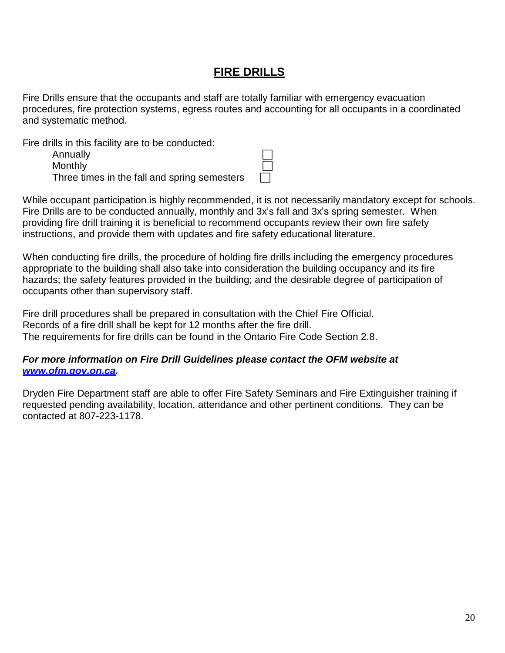## **FIRE DRILLS**

Fire Drills ensure that the occupants and staff are totally familiar with emergency evacuation procedures, fire protection systems, egress routes and accounting for all occupants in a coordinated and systematic method.

Fire drills in this facility are to be conducted:

**Annually Monthly** Three times in the fall and spring semesters

While occupant participation is highly recommended, it is not necessarily mandatory except for schools. Fire Drills are to be conducted annually, monthly and 3x's fall and 3x's spring semester. When providing fire drill training it is beneficial to recommend occupants review their own fire safety instructions, and provide them with updates and fire safety educational literature.

When conducting fire drills, the procedure of holding fire drills including the emergency procedures appropriate to the building shall also take into consideration the building occupancy and its fire hazards; the safety features provided in the building; and the desirable degree of participation of occupants other than supervisory staff.

Fire drill procedures shall be prepared in consultation with the Chief Fire Official. Records of a fire drill shall be kept for 12 months after the fire drill. The requirements for fire drills can be found in the Ontario Fire Code Section 2.8.

#### *For more information on Fire Drill Guidelines please contact the OFM website at [www.ofm.gov.on.ca.](http://www.ofm.gov.on.ca/)*

Dryden Fire Department staff are able to offer Fire Safety Seminars and Fire Extinguisher training if requested pending availability, location, attendance and other pertinent conditions. They can be contacted at 807-223-1178.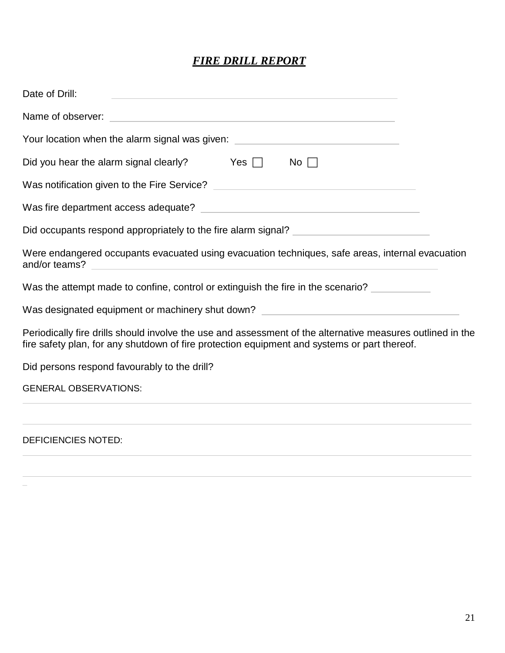### *FIRE DRILL REPORT*

| Date of Drill:<br>and the control of the control of the control of the control of the control of the control of the control of the                                                                                                        |
|-------------------------------------------------------------------------------------------------------------------------------------------------------------------------------------------------------------------------------------------|
|                                                                                                                                                                                                                                           |
| Your location when the alarm signal was given: _________________________________                                                                                                                                                          |
| Did you hear the alarm signal clearly? Yes $\Box$<br>No                                                                                                                                                                                   |
|                                                                                                                                                                                                                                           |
|                                                                                                                                                                                                                                           |
|                                                                                                                                                                                                                                           |
| Were endangered occupants evacuated using evacuation techniques, safe areas, internal evacuation<br>and/or teams?<br><u> 1980 - Johann John Stone, markin film yn y brening yn y brening yn y brening y brening yn y brening y brenin</u> |
| Was the attempt made to confine, control or extinguish the fire in the scenario?                                                                                                                                                          |
| Was designated equipment or machinery shut down? _______________________________                                                                                                                                                          |
| Periodically fire drills should involve the use and assessment of the alternative measures outlined in the<br>fire safety plan, for any shutdown of fire protection equipment and systems or part thereof.                                |
| Did persons respond favourably to the drill?                                                                                                                                                                                              |
| <b>GENERAL OBSERVATIONS:</b>                                                                                                                                                                                                              |
| <b>DEFICIENCIES NOTED:</b>                                                                                                                                                                                                                |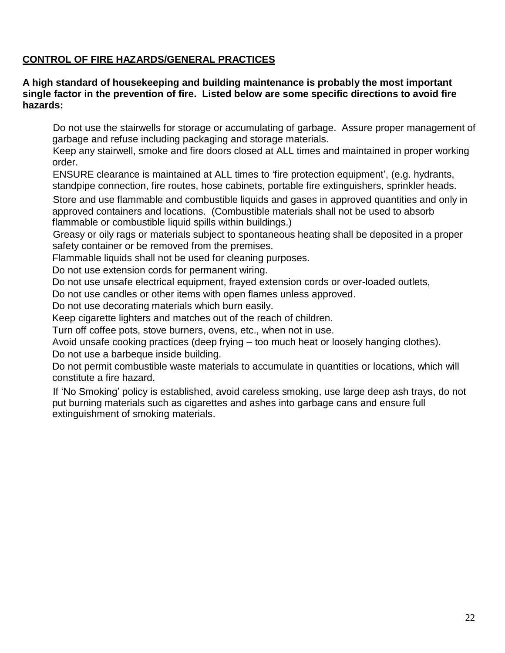#### **CONTROL OF FIRE HAZARDS/GENERAL PRACTICES**

#### **A high standard of housekeeping and building maintenance is probably the most important single factor in the prevention of fire. Listed below are some specific directions to avoid fire hazards:**

 Do not use the stairwells for storage or accumulating of garbage. Assure proper management of garbage and refuse including packaging and storage materials.

 Keep any stairwell, smoke and fire doors closed at ALL times and maintained in proper working order.

 ENSURE clearance is maintained at ALL times to 'fire protection equipment', (e.g. hydrants, standpipe connection, fire routes, hose cabinets, portable fire extinguishers, sprinkler heads.

 Store and use flammable and combustible liquids and gases in approved quantities and only in approved containers and locations. (Combustible materials shall not be used to absorb flammable or combustible liquid spills within buildings.)

 Greasy or oily rags or materials subject to spontaneous heating shall be deposited in a proper safety container or be removed from the premises.

Flammable liquids shall not be used for cleaning purposes.

Do not use extension cords for permanent wiring.

Do not use unsafe electrical equipment, frayed extension cords or over-loaded outlets,

Do not use candles or other items with open flames unless approved.

Do not use decorating materials which burn easily.

Keep cigarette lighters and matches out of the reach of children.

Turn off coffee pots, stove burners, ovens, etc., when not in use.

Avoid unsafe cooking practices (deep frying – too much heat or loosely hanging clothes). Do not use a barbeque inside building.

Do not permit combustible waste materials to accumulate in quantities or locations, which will constitute a fire hazard.

 If 'No Smoking' policy is established, avoid careless smoking, use large deep ash trays, do not put burning materials such as cigarettes and ashes into garbage cans and ensure full extinguishment of smoking materials.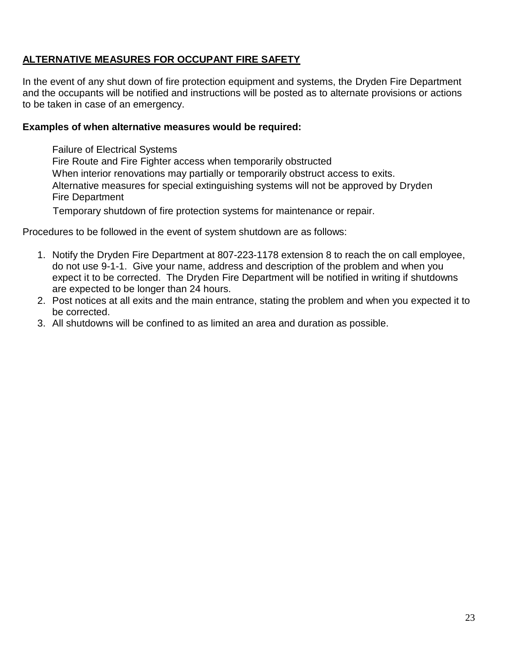#### **ALTERNATIVE MEASURES FOR OCCUPANT FIRE SAFETY**

In the event of any shut down of fire protection equipment and systems, the Dryden Fire Department and the occupants will be notified and instructions will be posted as to alternate provisions or actions to be taken in case of an emergency.

#### **Examples of when alternative measures would be required:**

Failure of Electrical Systems Fire Route and Fire Fighter access when temporarily obstructed When interior renovations may partially or temporarily obstruct access to exits. Alternative measures for special extinguishing systems will not be approved by Dryden Fire Department

Temporary shutdown of fire protection systems for maintenance or repair.

Procedures to be followed in the event of system shutdown are as follows:

- 1. Notify the Dryden Fire Department at 807-223-1178 extension 8 to reach the on call employee, do not use 9-1-1. Give your name, address and description of the problem and when you expect it to be corrected. The Dryden Fire Department will be notified in writing if shutdowns are expected to be longer than 24 hours.
- 2. Post notices at all exits and the main entrance, stating the problem and when you expected it to be corrected.
- 3. All shutdowns will be confined to as limited an area and duration as possible.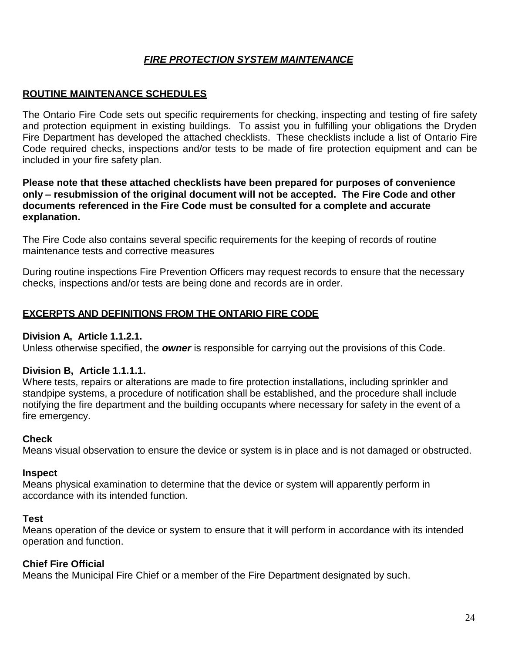#### *FIRE PROTECTION SYSTEM MAINTENANCE*

#### **ROUTINE MAINTENANCE SCHEDULES**

The Ontario Fire Code sets out specific requirements for checking, inspecting and testing of fire safety and protection equipment in existing buildings. To assist you in fulfilling your obligations the Dryden Fire Department has developed the attached checklists. These checklists include a list of Ontario Fire Code required checks, inspections and/or tests to be made of fire protection equipment and can be included in your fire safety plan.

#### **Please note that these attached checklists have been prepared for purposes of convenience only – resubmission of the original document will not be accepted. The Fire Code and other documents referenced in the Fire Code must be consulted for a complete and accurate explanation.**

The Fire Code also contains several specific requirements for the keeping of records of routine maintenance tests and corrective measures

During routine inspections Fire Prevention Officers may request records to ensure that the necessary checks, inspections and/or tests are being done and records are in order.

#### **EXCERPTS AND DEFINITIONS FROM THE ONTARIO FIRE CODE**

#### **Division A, Article 1.1.2.1.**

Unless otherwise specified, the *owner* is responsible for carrying out the provisions of this Code.

#### **Division B, Article 1.1.1.1.**

Where tests, repairs or alterations are made to fire protection installations, including sprinkler and standpipe systems, a procedure of notification shall be established, and the procedure shall include notifying the fire department and the building occupants where necessary for safety in the event of a fire emergency.

#### **Check**

Means visual observation to ensure the device or system is in place and is not damaged or obstructed.

#### **Inspect**

Means physical examination to determine that the device or system will apparently perform in accordance with its intended function.

#### **Test**

Means operation of the device or system to ensure that it will perform in accordance with its intended operation and function.

#### **Chief Fire Official**

Means the Municipal Fire Chief or a member of the Fire Department designated by such.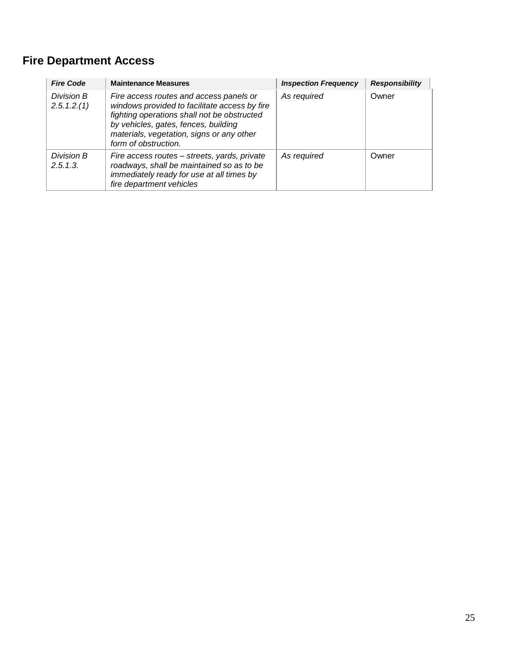## **Fire Department Access**

| <b>Fire Code</b>          | <b>Maintenance Measures</b>                                                                                                                                                                                                                          | <b>Inspection Frequency</b> | <b>Responsibility</b> |
|---------------------------|------------------------------------------------------------------------------------------------------------------------------------------------------------------------------------------------------------------------------------------------------|-----------------------------|-----------------------|
| Division B<br>2.5.1.2.(1) | Fire access routes and access panels or<br>windows provided to facilitate access by fire<br>fighting operations shall not be obstructed<br>by vehicles, gates, fences, building<br>materials, vegetation, signs or any other<br>form of obstruction. | As required                 | Owner                 |
| Division B<br>2.5.1.3.    | Fire access routes – streets, yards, private<br>roadways, shall be maintained so as to be<br>immediately ready for use at all times by<br>fire department vehicles                                                                                   | As required                 | Owner                 |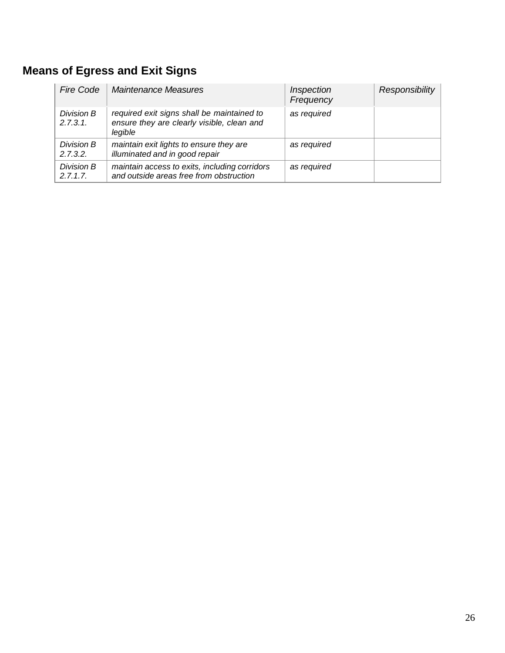## **Means of Egress and Exit Signs**

| <b>Fire Code</b>       | <b>Maintenance Measures</b>                                                                         | Inspection<br>Frequency | Responsibility |
|------------------------|-----------------------------------------------------------------------------------------------------|-------------------------|----------------|
| Division B<br>2.7.3.1. | required exit signs shall be maintained to<br>ensure they are clearly visible, clean and<br>legible | as required             |                |
| Division B<br>2.7.3.2. | maintain exit lights to ensure they are<br>illuminated and in good repair                           | as required             |                |
| Division B<br>2.7.1.7. | maintain access to exits, including corridors<br>and outside areas free from obstruction            | as required             |                |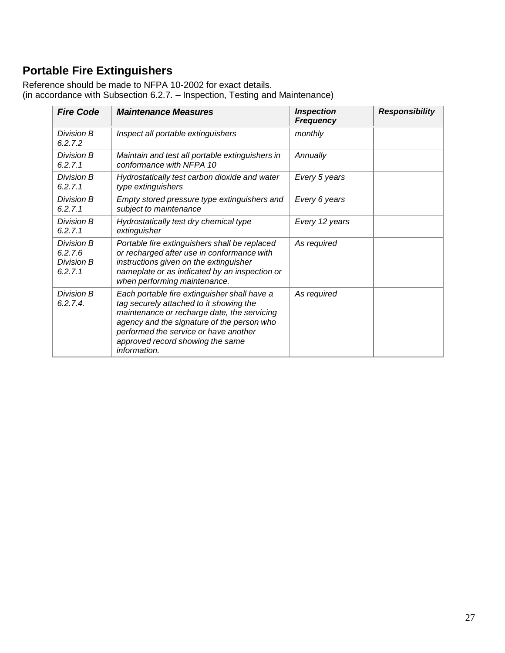## **Portable Fire Extinguishers**

Reference should be made to NFPA 10-2002 for exact details. (in accordance with Subsection 6.2.7. – Inspection, Testing and Maintenance)

| <b>Fire Code</b>                               | <b>Maintenance Measures</b>                                                                                                                                                                                                                                                       | <b>Inspection</b><br><b>Frequency</b> | <b>Responsibility</b> |
|------------------------------------------------|-----------------------------------------------------------------------------------------------------------------------------------------------------------------------------------------------------------------------------------------------------------------------------------|---------------------------------------|-----------------------|
| Division B<br>6.2.7.2                          | Inspect all portable extinguishers                                                                                                                                                                                                                                                | monthly                               |                       |
| Division B<br>6.2.7.1                          | Maintain and test all portable extinguishers in<br>conformance with NFPA 10                                                                                                                                                                                                       | Annually                              |                       |
| Division B<br>6.2.7.1                          | Hydrostatically test carbon dioxide and water<br>type extinguishers                                                                                                                                                                                                               | Every 5 years                         |                       |
| Division B<br>6.2.7.1                          | Empty stored pressure type extinguishers and<br>subject to maintenance                                                                                                                                                                                                            | Every 6 years                         |                       |
| Division B<br>6.2.7.1                          | Hydrostatically test dry chemical type<br>extinguisher                                                                                                                                                                                                                            | Every 12 years                        |                       |
| Division B<br>6.2.7.6<br>Division B<br>6.2.7.1 | Portable fire extinguishers shall be replaced<br>or recharged after use in conformance with<br>instructions given on the extinguisher<br>nameplate or as indicated by an inspection or<br>when performing maintenance.                                                            | As required                           |                       |
| Division B<br>6.2.7.4                          | Each portable fire extinguisher shall have a<br>tag securely attached to it showing the<br>maintenance or recharge date, the servicing<br>agency and the signature of the person who<br>performed the service or have another<br>approved record showing the same<br>information. | As required                           |                       |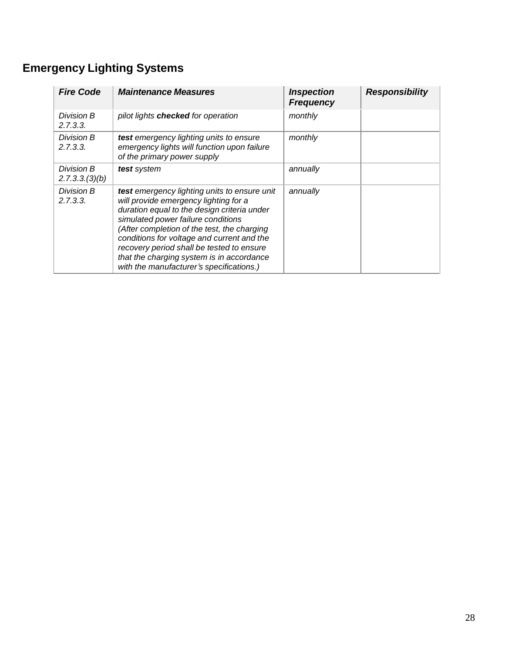## **Emergency Lighting Systems**

| <b>Fire Code</b>             | <b>Maintenance Measures</b>                                                                                                                                                                                                                                                                                                                                                                                   | <b>Inspection</b><br><b>Frequency</b> | <b>Responsibility</b> |
|------------------------------|---------------------------------------------------------------------------------------------------------------------------------------------------------------------------------------------------------------------------------------------------------------------------------------------------------------------------------------------------------------------------------------------------------------|---------------------------------------|-----------------------|
| Division B<br>2.7.3.3.       | pilot lights checked for operation                                                                                                                                                                                                                                                                                                                                                                            | monthly                               |                       |
| Division B<br>2.7.3.3.       | test emergency lighting units to ensure<br>emergency lights will function upon failure<br>of the primary power supply                                                                                                                                                                                                                                                                                         | monthly                               |                       |
| Division B<br>2.7.3.3.(3)(b) | test system                                                                                                                                                                                                                                                                                                                                                                                                   | annually                              |                       |
| Division B<br>2.7.3.3.       | test emergency lighting units to ensure unit<br>will provide emergency lighting for a<br>duration equal to the design criteria under<br>simulated power failure conditions<br>(After completion of the test, the charging<br>conditions for voltage and current and the<br>recovery period shall be tested to ensure<br>that the charging system is in accordance<br>with the manufacturer's specifications.) | annually                              |                       |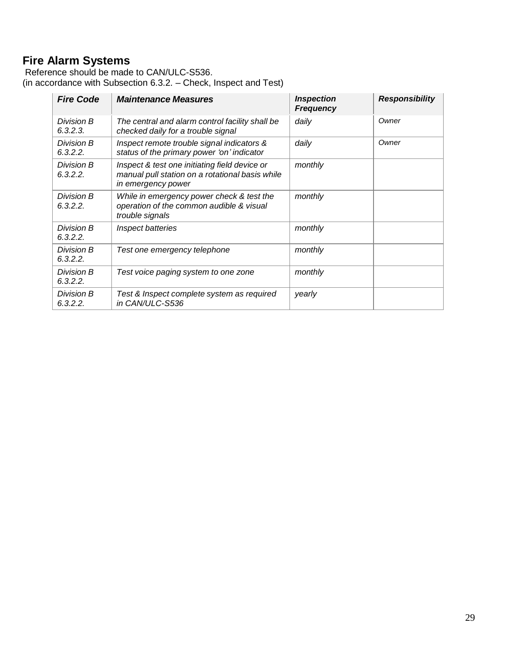## **Fire Alarm Systems**

Reference should be made to CAN/ULC-S536. (in accordance with Subsection 6.3.2. – Check, Inspect and Test)

| <b>Fire Code</b>       | <b>Maintenance Measures</b>                                                                                            | <b>Inspection</b><br><b>Frequency</b> | <b>Responsibility</b> |
|------------------------|------------------------------------------------------------------------------------------------------------------------|---------------------------------------|-----------------------|
| Division B<br>6.3.2.3. | The central and alarm control facility shall be<br>checked daily for a trouble signal                                  | daily                                 | Owner                 |
| Division B<br>6.3.2.2. | Inspect remote trouble signal indicators &<br>status of the primary power 'on' indicator                               | daily                                 | Owner                 |
| Division B<br>6.3.2.2. | Inspect & test one initiating field device or<br>manual pull station on a rotational basis while<br>in emergency power | monthly                               |                       |
| Division B<br>6.3.2.2. | While in emergency power check & test the<br>operation of the common audible & visual<br>trouble signals               | monthly                               |                       |
| Division B<br>6.3.2.2. | Inspect batteries                                                                                                      | monthly                               |                       |
| Division B<br>6.3.2.2. | Test one emergency telephone                                                                                           | monthly                               |                       |
| Division B<br>6.3.2.2. | Test voice paging system to one zone                                                                                   | monthly                               |                       |
| Division B<br>6.3.2.2. | Test & Inspect complete system as required<br>in CAN/ULC-S536                                                          | yearly                                |                       |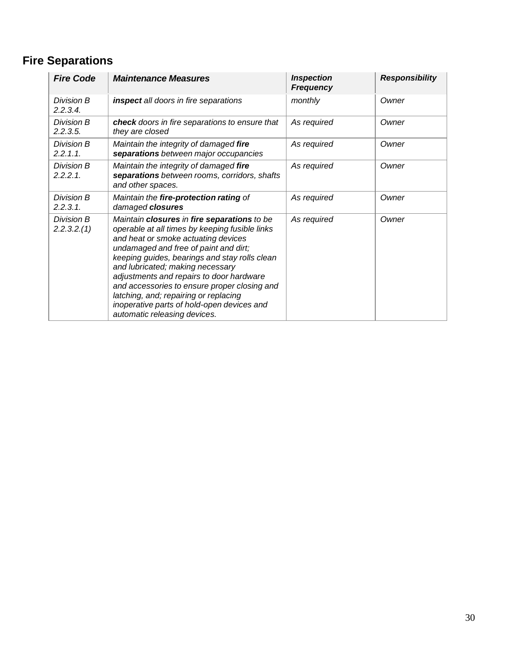## **Fire Separations**

| <b>Fire Code</b>          | <b>Maintenance Measures</b>                                                                                                                                                                                                                                                                                                                                                                                                                                                           | <b>Inspection</b><br><b>Frequency</b> | <b>Responsibility</b> |
|---------------------------|---------------------------------------------------------------------------------------------------------------------------------------------------------------------------------------------------------------------------------------------------------------------------------------------------------------------------------------------------------------------------------------------------------------------------------------------------------------------------------------|---------------------------------------|-----------------------|
| Division B<br>2.2.3.4.    | inspect all doors in fire separations                                                                                                                                                                                                                                                                                                                                                                                                                                                 | monthly                               | Owner                 |
| Division B<br>2.2.3.5.    | check doors in fire separations to ensure that<br>they are closed                                                                                                                                                                                                                                                                                                                                                                                                                     | As required                           | Owner                 |
| Division B<br>2.2.1.1.    | Maintain the integrity of damaged fire<br>separations between major occupancies                                                                                                                                                                                                                                                                                                                                                                                                       | As required                           | Owner                 |
| Division B<br>$2.2.2.1$ . | Maintain the integrity of damaged fire<br>separations between rooms, corridors, shafts<br>and other spaces.                                                                                                                                                                                                                                                                                                                                                                           | As required                           | Owner                 |
| Division B<br>2.2.3.1     | Maintain the fire-protection rating of<br>damaged closures                                                                                                                                                                                                                                                                                                                                                                                                                            | As required                           | Owner                 |
| Division B<br>2.2.3.2.(1) | Maintain closures in fire separations to be<br>operable at all times by keeping fusible links<br>and heat or smoke actuating devices<br>undamaged and free of paint and dirt;<br>keeping guides, bearings and stay rolls clean<br>and lubricated; making necessary<br>adjustments and repairs to door hardware<br>and accessories to ensure proper closing and<br>latching, and; repairing or replacing<br>inoperative parts of hold-open devices and<br>automatic releasing devices. | As required                           | Owner                 |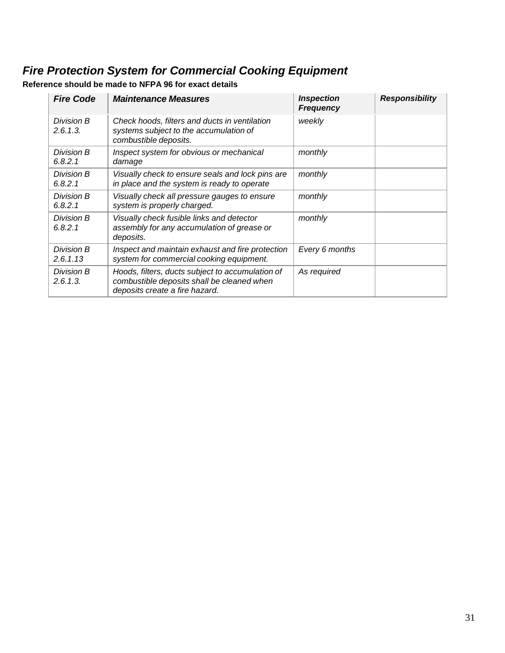## *Fire Protection System for Commercial Cooking Equipment*

**Reference should be made to NFPA 96 for exact details**

| <b>Fire Code</b>       | <b>Maintenance Measures</b>                                                                                                      | <b>Inspection</b><br><b>Frequency</b> | <b>Responsibility</b> |
|------------------------|----------------------------------------------------------------------------------------------------------------------------------|---------------------------------------|-----------------------|
| Division B<br>2.6.1.3. | Check hoods, filters and ducts in ventilation<br>systems subject to the accumulation of<br>combustible deposits.                 | weekly                                |                       |
| Division B<br>6.8.2.1  | Inspect system for obvious or mechanical<br>damage                                                                               | monthly                               |                       |
| Division B<br>6.8.2.1  | Visually check to ensure seals and lock pins are<br>in place and the system is ready to operate                                  | monthly                               |                       |
| Division B<br>6.8.2.1  | Visually check all pressure gauges to ensure<br>system is properly charged.                                                      | monthly                               |                       |
| Division B<br>6.8.2.1  | Visually check fusible links and detector<br>assembly for any accumulation of grease or<br>deposits.                             | monthly                               |                       |
| Division B<br>2.6.1.13 | Inspect and maintain exhaust and fire protection<br>system for commercial cooking equipment.                                     | Every 6 months                        |                       |
| Division B<br>2.6.1.3. | Hoods, filters, ducts subject to accumulation of<br>combustible deposits shall be cleaned when<br>deposits create a fire hazard. | As required                           |                       |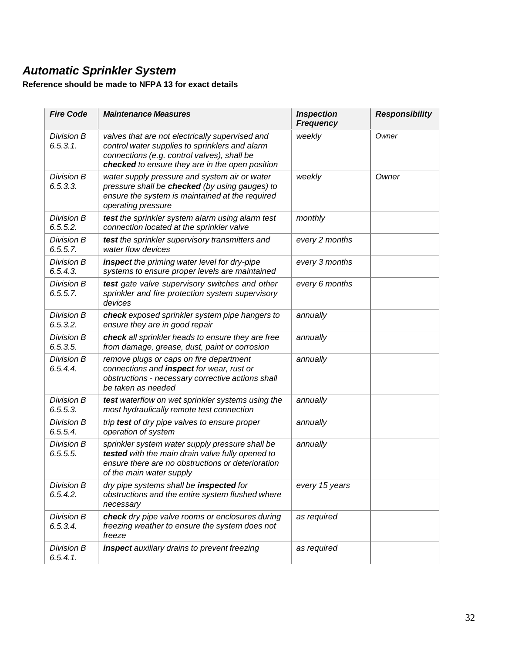## *Automatic Sprinkler System*

#### **Reference should be made to NFPA 13 for exact details**

| <b>Fire Code</b>              | <b>Maintenance Measures</b>                                                                                                                                                                         | <b>Inspection</b><br><b>Frequency</b> | <b>Responsibility</b> |
|-------------------------------|-----------------------------------------------------------------------------------------------------------------------------------------------------------------------------------------------------|---------------------------------------|-----------------------|
| Division B<br>6.5.3.1.        | valves that are not electrically supervised and<br>control water supplies to sprinklers and alarm<br>connections (e.g. control valves), shall be<br>checked to ensure they are in the open position | weekly                                | Owner                 |
| <b>Division B</b><br>6.5.3.3. | water supply pressure and system air or water<br>pressure shall be checked (by using gauges) to<br>ensure the system is maintained at the required<br>operating pressure                            | weekly                                | Owner                 |
| Division B<br>6.5.5.2.        | test the sprinkler system alarm using alarm test<br>connection located at the sprinkler valve                                                                                                       | monthly                               |                       |
| Division B<br>6.5.5.7.        | test the sprinkler supervisory transmitters and<br>water flow devices                                                                                                                               | every 2 months                        |                       |
| Division B<br>6.5.4.3.        | inspect the priming water level for dry-pipe<br>systems to ensure proper levels are maintained                                                                                                      | every 3 months                        |                       |
| Division B<br>6.5.5.7.        | test gate valve supervisory switches and other<br>sprinkler and fire protection system supervisory<br>devices                                                                                       | every 6 months                        |                       |
| Division B<br>6.5.3.2.        | check exposed sprinkler system pipe hangers to<br>ensure they are in good repair                                                                                                                    | annually                              |                       |
| Division B<br>6.5.3.5.        | check all sprinkler heads to ensure they are free<br>from damage, grease, dust, paint or corrosion                                                                                                  | annually                              |                       |
| Division B<br>6.5.4.4.        | remove plugs or caps on fire department<br>connections and inspect for wear, rust or<br>obstructions - necessary corrective actions shall<br>be taken as needed                                     | annually                              |                       |
| Division B<br>6.5.5.3.        | test waterflow on wet sprinkler systems using the<br>most hydraulically remote test connection                                                                                                      | annually                              |                       |
| Division B<br>6.5.5.4         | trip test of dry pipe valves to ensure proper<br>operation of system                                                                                                                                | annually                              |                       |
| Division B<br>6.5.5.5.        | sprinkler system water supply pressure shall be<br>tested with the main drain valve fully opened to<br>ensure there are no obstructions or deterioration<br>of the main water supply                | annually                              |                       |
| Division B<br>6.5.4.2.        | dry pipe systems shall be inspected for<br>obstructions and the entire system flushed where<br>necessary                                                                                            | every 15 years                        |                       |
| Division B<br>6.5.3.4.        | check dry pipe valve rooms or enclosures during<br>freezing weather to ensure the system does not<br>freeze                                                                                         | as required                           |                       |
| Division B<br>6.5.4.1         | inspect auxiliary drains to prevent freezing                                                                                                                                                        | as required                           |                       |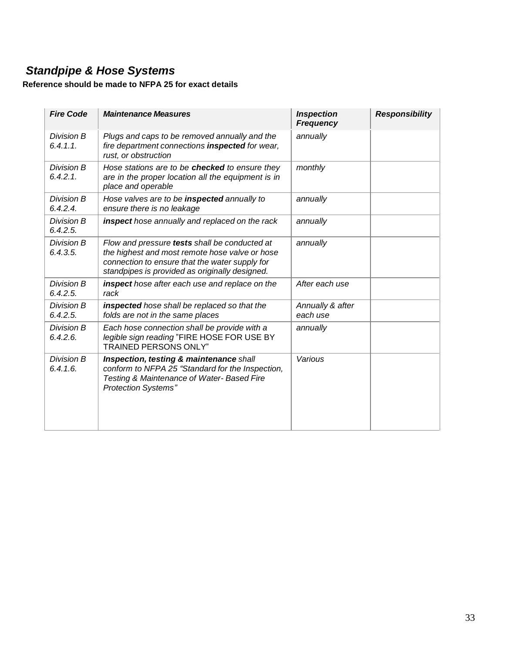## *Standpipe & Hose Systems*

#### **Reference should be made to NFPA 25 for exact details**

| <b>Fire Code</b>       | <b>Maintenance Measures</b>                                                                                                                                                                         | <b>Inspection</b><br><b>Frequency</b> | <b>Responsibility</b> |
|------------------------|-----------------------------------------------------------------------------------------------------------------------------------------------------------------------------------------------------|---------------------------------------|-----------------------|
| Division B<br>6.4.1.1  | Plugs and caps to be removed annually and the<br>fire department connections inspected for wear,<br>rust, or obstruction                                                                            | annually                              |                       |
| Division B<br>6.4.2.1. | Hose stations are to be checked to ensure they<br>are in the proper location all the equipment is in<br>place and operable                                                                          | monthly                               |                       |
| Division B<br>6.4.2.4. | Hose valves are to be inspected annually to<br>ensure there is no leakage                                                                                                                           | annually                              |                       |
| Division B<br>6.4.2.5. | inspect hose annually and replaced on the rack                                                                                                                                                      | annually                              |                       |
| Division B<br>6.4.3.5. | Flow and pressure tests shall be conducted at<br>the highest and most remote hose valve or hose<br>connection to ensure that the water supply for<br>standpipes is provided as originally designed. | annually                              |                       |
| Division B<br>6.4.2.5. | inspect hose after each use and replace on the<br>rack                                                                                                                                              | After each use                        |                       |
| Division B<br>6.4.2.5. | inspected hose shall be replaced so that the<br>folds are not in the same places                                                                                                                    | Annually & after<br>each use          |                       |
| Division B<br>6.4.2.6. | Each hose connection shall be provide with a<br>legible sign reading "FIRE HOSE FOR USE BY<br><b>TRAINED PERSONS ONLY"</b>                                                                          | annually                              |                       |
| Division B<br>6.4.1.6. | Inspection, testing & maintenance shall<br>conform to NFPA 25 "Standard for the Inspection,<br>Testing & Maintenance of Water-Based Fire<br><b>Protection Systems"</b>                              | Various                               |                       |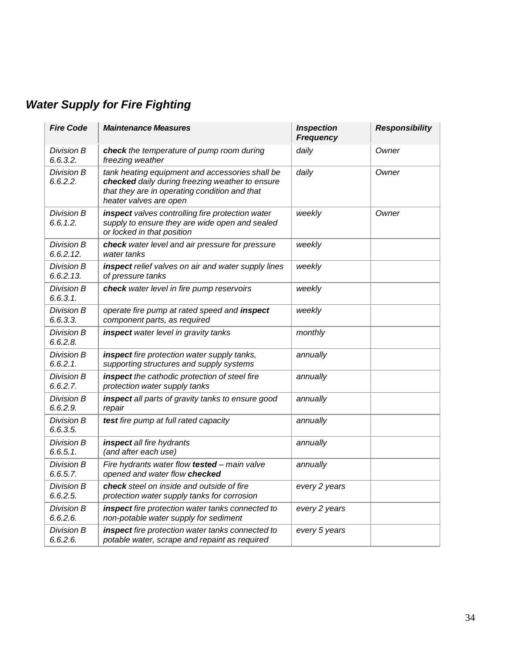## *Water Supply for Fire Fighting*

| <b>Fire Code</b>          | <b>Maintenance Measures</b>                                                                                                                                                   | <b>Inspection</b><br><b>Frequency</b> | <b>Responsibility</b> |
|---------------------------|-------------------------------------------------------------------------------------------------------------------------------------------------------------------------------|---------------------------------------|-----------------------|
| Division B<br>6.6.3.2.    | check the temperature of pump room during<br>freezing weather                                                                                                                 | daily                                 | Owner                 |
| Division B<br>6.6.2.2.    | tank heating equipment and accessories shall be<br>checked daily during freezing weather to ensure<br>that they are in operating condition and that<br>heater valves are open | daily                                 | Owner                 |
| Division B<br>6.6.1.2.    | inspect valves controlling fire protection water<br>supply to ensure they are wide open and sealed<br>or locked in that position                                              | weekly                                | Owner                 |
| Division B<br>6.6.2.12.   | check water level and air pressure for pressure<br>water tanks                                                                                                                | weekly                                |                       |
| Division B<br>6.6.2.13.   | inspect relief valves on air and water supply lines<br>of pressure tanks                                                                                                      | weekly                                |                       |
| Division B<br>6.6.3.1     | check water level in fire pump reservoirs                                                                                                                                     | weekly                                |                       |
| Division B<br>6.6.3.3.    | operate fire pump at rated speed and inspect<br>component parts, as required                                                                                                  | weekly                                |                       |
| Division B<br>6.6.2.8.    | inspect water level in gravity tanks                                                                                                                                          | monthly                               |                       |
| Division B<br>$6.6.2.1$ . | inspect fire protection water supply tanks,<br>supporting structures and supply systems                                                                                       | annually                              |                       |
| Division B<br>6.6.2.7.    | inspect the cathodic protection of steel fire<br>protection water supply tanks                                                                                                | annually                              |                       |
| Division B<br>6.6.2.9.    | inspect all parts of gravity tanks to ensure good<br>repair                                                                                                                   | annually                              |                       |
| Division B<br>6.6.3.5.    | test fire pump at full rated capacity                                                                                                                                         | annually                              |                       |
| Division B<br>$6.6.5.1$ . | inspect all fire hydrants<br>(and after each use)                                                                                                                             | annually                              |                       |
| Division B<br>6.6.5.7.    | Fire hydrants water flow tested - main valve<br>opened and water flow checked                                                                                                 | annually                              |                       |
| Division B<br>6.6.2.5.    | check steel on inside and outside of fire<br>protection water supply tanks for corrosion                                                                                      | every 2 years                         |                       |
| Division B<br>6.6.2.6.    | inspect fire protection water tanks connected to<br>non-potable water supply for sediment                                                                                     | every 2 years                         |                       |
| Division B<br>6.6.2.6.    | inspect fire protection water tanks connected to<br>potable water, scrape and repaint as required                                                                             | every 5 years                         |                       |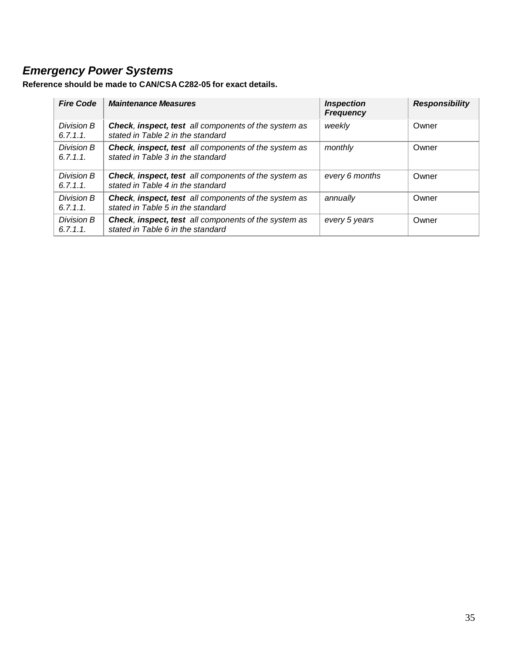## *Emergency Power Systems*

| <b>Fire Code</b>      | <b>Maintenance Measures</b>                                                                      | <b>Inspection</b><br><b>Frequency</b> | <b>Responsibility</b> |
|-----------------------|--------------------------------------------------------------------------------------------------|---------------------------------------|-----------------------|
| Division B<br>6.7.1.1 | <b>Check, inspect, test</b> all components of the system as<br>stated in Table 2 in the standard | weekly                                | Owner                 |
| Division B<br>6.7.1.1 | <b>Check, inspect, test</b> all components of the system as<br>stated in Table 3 in the standard | monthly                               | Owner                 |
| Division B<br>6.7.1.1 | <b>Check, inspect, test</b> all components of the system as<br>stated in Table 4 in the standard | every 6 months                        | Owner                 |
| Division B<br>6.7.1.1 | Check, inspect, test all components of the system as<br>stated in Table 5 in the standard        | annually                              | Owner                 |
| Division B<br>6.7.1.1 | <b>Check, inspect, test</b> all components of the system as<br>stated in Table 6 in the standard | every 5 years                         | Owner                 |

**Reference should be made to CAN/CSA C282-05 for exact details.**